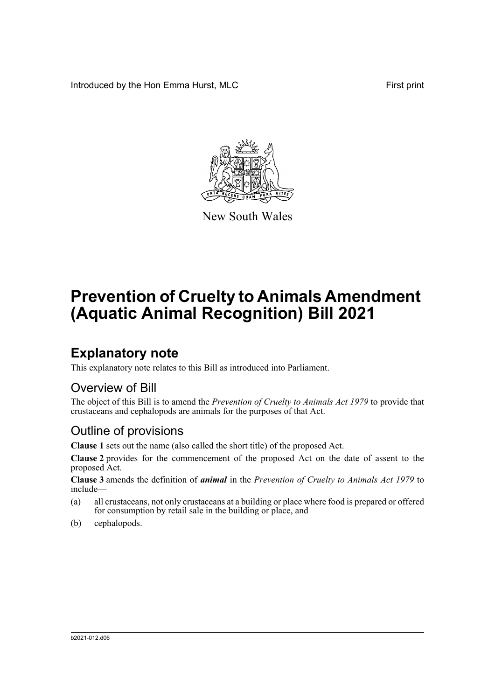Introduced by the Hon Emma Hurst, MLC First print



New South Wales

# **Prevention of Cruelty to Animals Amendment (Aquatic Animal Recognition) Bill 2021**

## **Explanatory note**

This explanatory note relates to this Bill as introduced into Parliament.

#### Overview of Bill

The object of this Bill is to amend the *Prevention of Cruelty to Animals Act 1979* to provide that crustaceans and cephalopods are animals for the purposes of that Act.

### Outline of provisions

**Clause 1** sets out the name (also called the short title) of the proposed Act.

**Clause 2** provides for the commencement of the proposed Act on the date of assent to the proposed Act.

**Clause 3** amends the definition of *animal* in the *Prevention of Cruelty to Animals Act 1979* to include—

- (a) all crustaceans, not only crustaceans at a building or place where food is prepared or offered for consumption by retail sale in the building or place, and
- (b) cephalopods.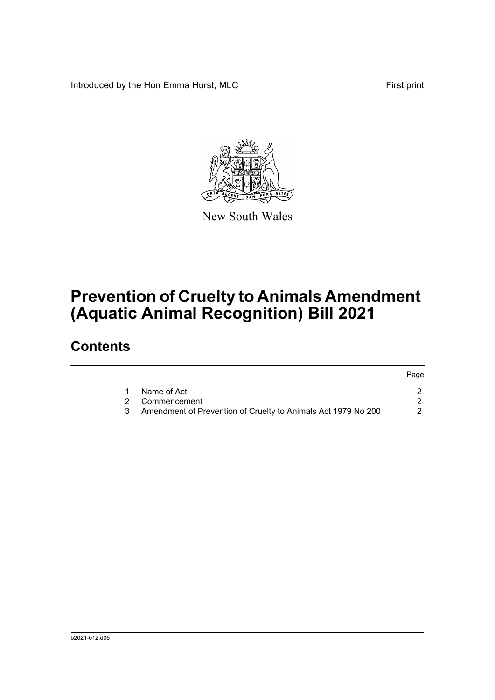Introduced by the Hon Emma Hurst, MLC First print



New South Wales

## **Prevention of Cruelty to Animals Amendment (Aquatic Animal Recognition) Bill 2021**

### **Contents**

|   |                                                               | Page |
|---|---------------------------------------------------------------|------|
|   | Name of Act                                                   |      |
|   | 2 Commencement                                                |      |
| 3 | Amendment of Prevention of Cruelty to Animals Act 1979 No 200 |      |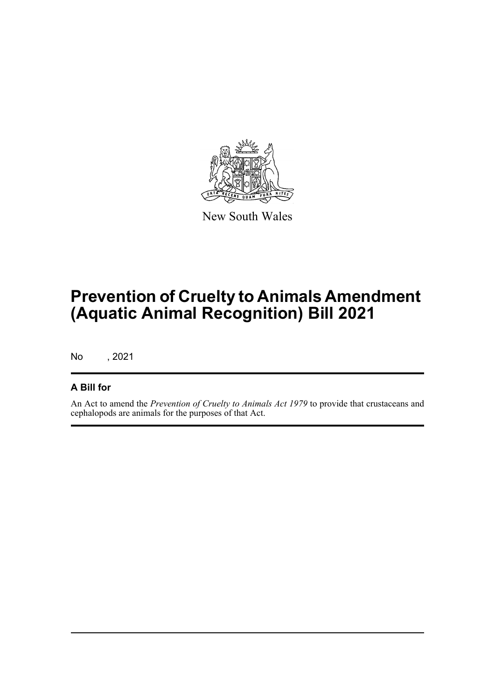

New South Wales

## **Prevention of Cruelty to Animals Amendment (Aquatic Animal Recognition) Bill 2021**

No , 2021

#### **A Bill for**

An Act to amend the *Prevention of Cruelty to Animals Act 1979* to provide that crustaceans and cephalopods are animals for the purposes of that Act.